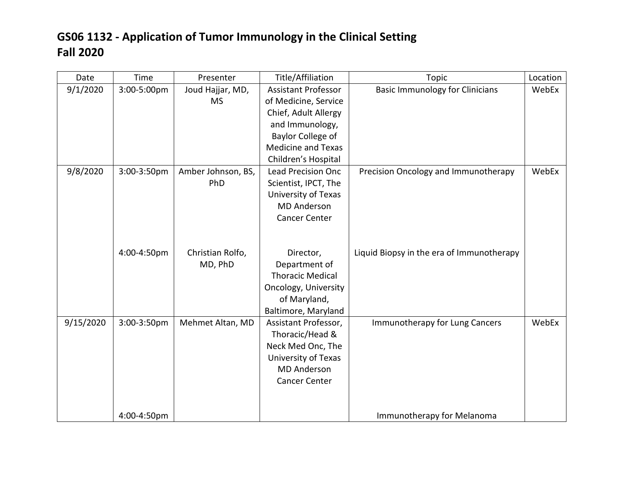| Date      | Time        | Presenter          | Title/Affiliation          | <b>Topic</b>                              | Location |
|-----------|-------------|--------------------|----------------------------|-------------------------------------------|----------|
| 9/1/2020  | 3:00-5:00pm | Joud Hajjar, MD,   | <b>Assistant Professor</b> | <b>Basic Immunology for Clinicians</b>    | WebEx    |
|           |             | <b>MS</b>          | of Medicine, Service       |                                           |          |
|           |             |                    | Chief, Adult Allergy       |                                           |          |
|           |             |                    | and Immunology,            |                                           |          |
|           |             |                    | Baylor College of          |                                           |          |
|           |             |                    | <b>Medicine and Texas</b>  |                                           |          |
|           |             |                    | Children's Hospital        |                                           |          |
| 9/8/2020  | 3:00-3:50pm | Amber Johnson, BS, | <b>Lead Precision Onc</b>  | Precision Oncology and Immunotherapy      | WebEx    |
|           |             | PhD                | Scientist, IPCT, The       |                                           |          |
|           |             |                    | University of Texas        |                                           |          |
|           |             |                    | <b>MD Anderson</b>         |                                           |          |
|           |             |                    | <b>Cancer Center</b>       |                                           |          |
|           |             |                    |                            |                                           |          |
|           |             |                    |                            |                                           |          |
|           | 4:00-4:50pm | Christian Rolfo,   | Director,                  | Liquid Biopsy in the era of Immunotherapy |          |
|           |             | MD, PhD            | Department of              |                                           |          |
|           |             |                    | <b>Thoracic Medical</b>    |                                           |          |
|           |             |                    | Oncology, University       |                                           |          |
|           |             |                    | of Maryland,               |                                           |          |
|           |             |                    | Baltimore, Maryland        |                                           |          |
| 9/15/2020 | 3:00-3:50pm | Mehmet Altan, MD   | Assistant Professor,       | Immunotherapy for Lung Cancers            | WebEx    |
|           |             |                    | Thoracic/Head &            |                                           |          |
|           |             |                    | Neck Med Onc, The          |                                           |          |
|           |             |                    | University of Texas        |                                           |          |
|           |             |                    | <b>MD</b> Anderson         |                                           |          |
|           |             |                    | <b>Cancer Center</b>       |                                           |          |
|           |             |                    |                            |                                           |          |
|           |             |                    |                            |                                           |          |
|           | 4:00-4:50pm |                    |                            | Immunotherapy for Melanoma                |          |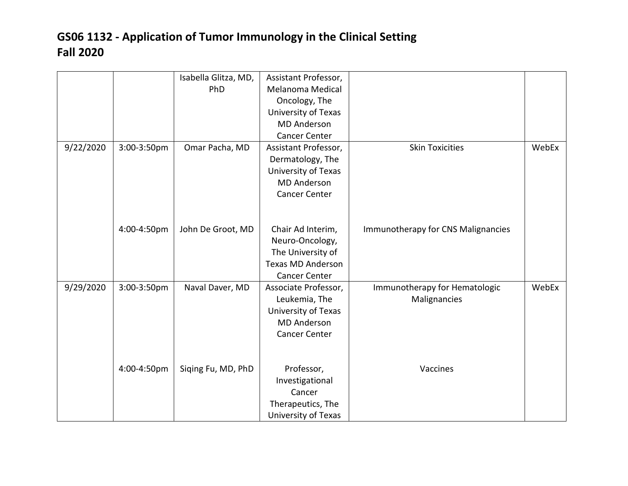|           |             | Isabella Glitza, MD, | Assistant Professor,     |                                    |       |
|-----------|-------------|----------------------|--------------------------|------------------------------------|-------|
|           |             | PhD                  | Melanoma Medical         |                                    |       |
|           |             |                      | Oncology, The            |                                    |       |
|           |             |                      | University of Texas      |                                    |       |
|           |             |                      | <b>MD</b> Anderson       |                                    |       |
|           |             |                      | <b>Cancer Center</b>     |                                    |       |
| 9/22/2020 | 3:00-3:50pm | Omar Pacha, MD       | Assistant Professor,     | <b>Skin Toxicities</b>             | WebEx |
|           |             |                      | Dermatology, The         |                                    |       |
|           |             |                      | University of Texas      |                                    |       |
|           |             |                      | <b>MD</b> Anderson       |                                    |       |
|           |             |                      | <b>Cancer Center</b>     |                                    |       |
|           |             |                      |                          |                                    |       |
|           |             |                      |                          |                                    |       |
|           | 4:00-4:50pm | John De Groot, MD    | Chair Ad Interim,        | Immunotherapy for CNS Malignancies |       |
|           |             |                      | Neuro-Oncology,          |                                    |       |
|           |             |                      | The University of        |                                    |       |
|           |             |                      | <b>Texas MD Anderson</b> |                                    |       |
|           |             |                      | <b>Cancer Center</b>     |                                    |       |
| 9/29/2020 | 3:00-3:50pm | Naval Daver, MD      | Associate Professor,     | Immunotherapy for Hematologic      | WebEx |
|           |             |                      | Leukemia, The            | Malignancies                       |       |
|           |             |                      | University of Texas      |                                    |       |
|           |             |                      | <b>MD Anderson</b>       |                                    |       |
|           |             |                      | <b>Cancer Center</b>     |                                    |       |
|           |             |                      |                          |                                    |       |
|           |             |                      |                          |                                    |       |
|           | 4:00-4:50pm | Siging Fu, MD, PhD   | Professor,               | Vaccines                           |       |
|           |             |                      | Investigational          |                                    |       |
|           |             |                      | Cancer                   |                                    |       |
|           |             |                      | Therapeutics, The        |                                    |       |
|           |             |                      | University of Texas      |                                    |       |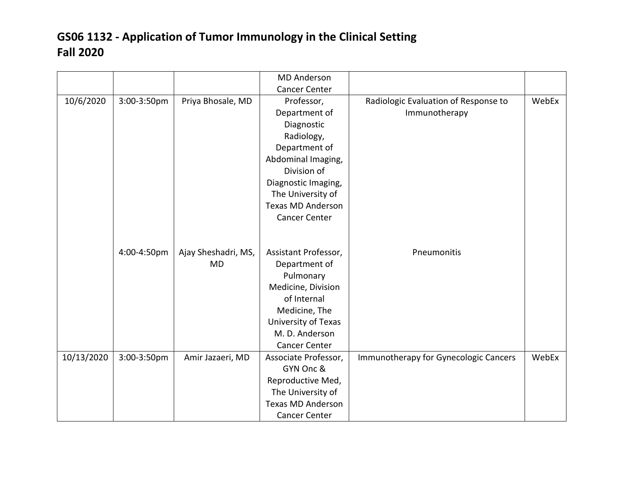|            |             |                     | <b>MD Anderson</b>       |                                       |       |
|------------|-------------|---------------------|--------------------------|---------------------------------------|-------|
|            |             |                     | <b>Cancer Center</b>     |                                       |       |
| 10/6/2020  | 3:00-3:50pm | Priya Bhosale, MD   | Professor,               | Radiologic Evaluation of Response to  | WebEx |
|            |             |                     | Department of            | Immunotherapy                         |       |
|            |             |                     | Diagnostic               |                                       |       |
|            |             |                     | Radiology,               |                                       |       |
|            |             |                     | Department of            |                                       |       |
|            |             |                     | Abdominal Imaging,       |                                       |       |
|            |             |                     | Division of              |                                       |       |
|            |             |                     | Diagnostic Imaging,      |                                       |       |
|            |             |                     | The University of        |                                       |       |
|            |             |                     | <b>Texas MD Anderson</b> |                                       |       |
|            |             |                     | <b>Cancer Center</b>     |                                       |       |
|            |             |                     |                          |                                       |       |
|            |             |                     |                          |                                       |       |
|            | 4:00-4:50pm | Ajay Sheshadri, MS, | Assistant Professor,     | Pneumonitis                           |       |
|            |             | <b>MD</b>           | Department of            |                                       |       |
|            |             |                     | Pulmonary                |                                       |       |
|            |             |                     | Medicine, Division       |                                       |       |
|            |             |                     | of Internal              |                                       |       |
|            |             |                     | Medicine, The            |                                       |       |
|            |             |                     | University of Texas      |                                       |       |
|            |             |                     | M. D. Anderson           |                                       |       |
|            |             |                     | <b>Cancer Center</b>     |                                       |       |
| 10/13/2020 | 3:00-3:50pm | Amir Jazaeri, MD    | Associate Professor,     | Immunotherapy for Gynecologic Cancers | WebEx |
|            |             |                     | GYN Onc &                |                                       |       |
|            |             |                     | Reproductive Med,        |                                       |       |
|            |             |                     | The University of        |                                       |       |
|            |             |                     | <b>Texas MD Anderson</b> |                                       |       |
|            |             |                     | <b>Cancer Center</b>     |                                       |       |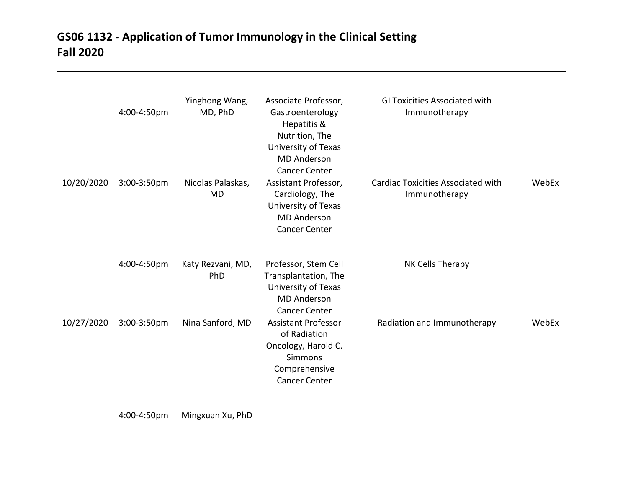|            | 4:00-4:50pm | Yinghong Wang,<br>MD, PhD      | Associate Professor,<br>Gastroenterology<br>Hepatitis &<br>Nutrition, The<br>University of Texas<br><b>MD</b> Anderson<br><b>Cancer Center</b> | GI Toxicities Associated with<br>Immunotherapy             |       |
|------------|-------------|--------------------------------|------------------------------------------------------------------------------------------------------------------------------------------------|------------------------------------------------------------|-------|
| 10/20/2020 | 3:00-3:50pm | Nicolas Palaskas,<br><b>MD</b> | Assistant Professor,<br>Cardiology, The<br>University of Texas<br><b>MD Anderson</b><br><b>Cancer Center</b>                                   | <b>Cardiac Toxicities Associated with</b><br>Immunotherapy | WebEx |
|            | 4:00-4:50pm | Katy Rezvani, MD,<br>PhD       | Professor, Stem Cell<br>Transplantation, The<br>University of Texas<br><b>MD</b> Anderson<br><b>Cancer Center</b>                              | NK Cells Therapy                                           |       |
| 10/27/2020 | 3:00-3:50pm | Nina Sanford, MD               | <b>Assistant Professor</b><br>of Radiation<br>Oncology, Harold C.<br><b>Simmons</b><br>Comprehensive<br><b>Cancer Center</b>                   | Radiation and Immunotherapy                                | WebEx |
|            | 4:00-4:50pm | Mingxuan Xu, PhD               |                                                                                                                                                |                                                            |       |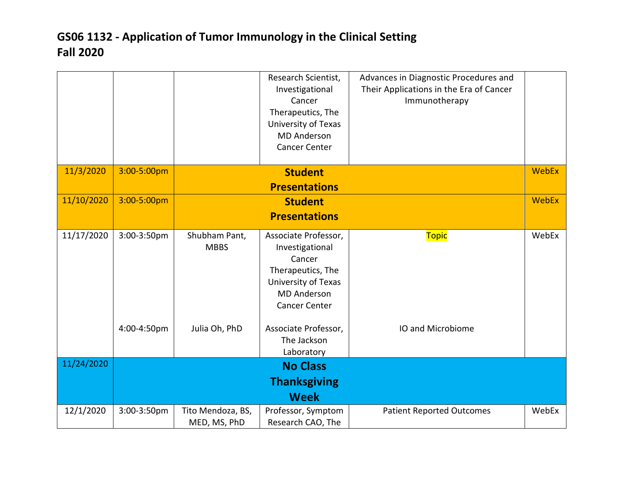|            |             |                                   | Research Scientist,<br>Investigational<br>Cancer<br>Therapeutics, The<br>University of Texas<br><b>MD Anderson</b><br><b>Cancer Center</b>  | Advances in Diagnostic Procedures and<br>Their Applications in the Era of Cancer<br>Immunotherapy |              |
|------------|-------------|-----------------------------------|---------------------------------------------------------------------------------------------------------------------------------------------|---------------------------------------------------------------------------------------------------|--------------|
| 11/3/2020  | 3:00-5:00pm |                                   | <b>Student</b>                                                                                                                              |                                                                                                   | <b>WebEx</b> |
|            |             |                                   | <b>Presentations</b>                                                                                                                        |                                                                                                   |              |
| 11/10/2020 | 3:00-5:00pm |                                   | <b>Student</b>                                                                                                                              |                                                                                                   | WebEx        |
|            |             |                                   | <b>Presentations</b>                                                                                                                        |                                                                                                   |              |
| 11/17/2020 | 3:00-3:50pm | Shubham Pant,<br><b>MBBS</b>      | Associate Professor,<br>Investigational<br>Cancer<br>Therapeutics, The<br>University of Texas<br><b>MD Anderson</b><br><b>Cancer Center</b> | <b>Topic</b>                                                                                      | WebEx        |
|            | 4:00-4:50pm | Julia Oh, PhD                     | Associate Professor,<br>The Jackson<br>Laboratory                                                                                           | IO and Microbiome                                                                                 |              |
| 11/24/2020 |             |                                   | <b>No Class</b>                                                                                                                             |                                                                                                   |              |
|            |             |                                   | <b>Thanksgiving</b>                                                                                                                         |                                                                                                   |              |
|            |             |                                   | <b>Week</b>                                                                                                                                 |                                                                                                   |              |
| 12/1/2020  | 3:00-3:50pm | Tito Mendoza, BS,<br>MED, MS, PhD | Professor, Symptom<br>Research CAO, The                                                                                                     | <b>Patient Reported Outcomes</b>                                                                  | WebEx        |